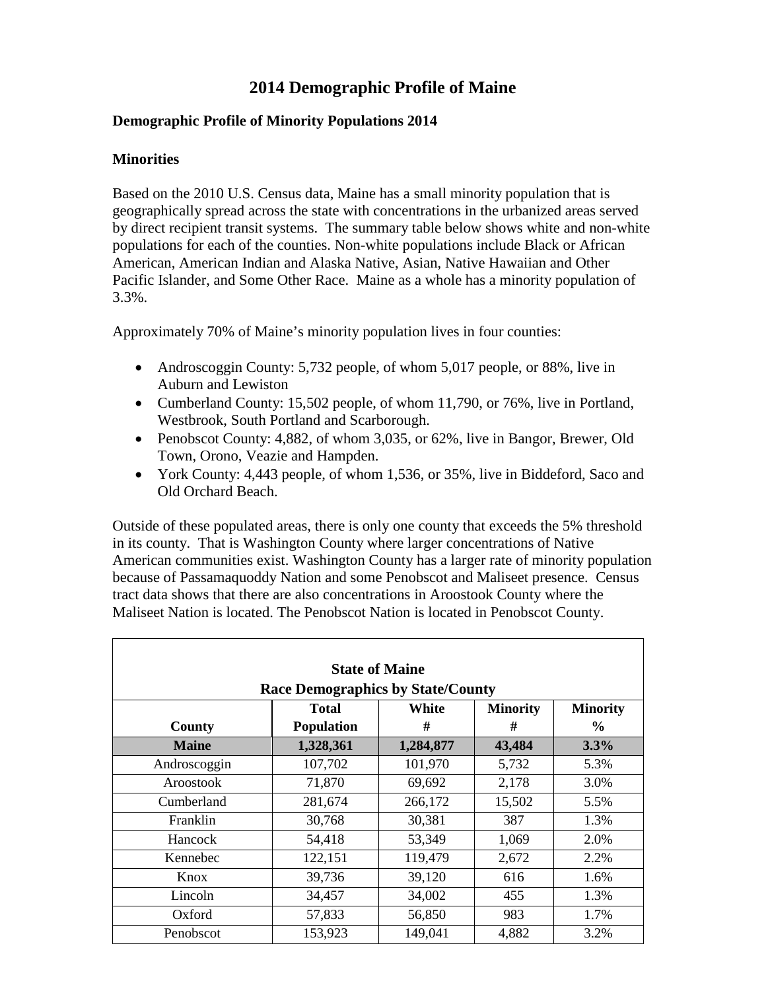# **2014 Demographic Profile of Maine**

## **Demographic Profile of Minority Populations 2014**

## **Minorities**

Based on the 2010 U.S. Census data, Maine has a small minority population that is geographically spread across the state with concentrations in the urbanized areas served by direct recipient transit systems. The summary table below shows white and non-white populations for each of the counties. Non-white populations include Black or African American, American Indian and Alaska Native, Asian, Native Hawaiian and Other Pacific Islander, and Some Other Race. Maine as a whole has a minority population of 3.3%.

Approximately 70% of Maine's minority population lives in four counties:

- Androscoggin County: 5,732 people, of whom 5,017 people, or 88%, live in Auburn and Lewiston
- Cumberland County: 15,502 people, of whom 11,790, or 76%, live in Portland, Westbrook, South Portland and Scarborough.
- Penobscot County: 4,882, of whom 3,035, or 62%, live in Bangor, Brewer, Old Town, Orono, Veazie and Hampden.
- York County: 4,443 people, of whom 1,536, or 35%, live in Biddeford, Saco and Old Orchard Beach.

Outside of these populated areas, there is only one county that exceeds the 5% threshold in its county. That is Washington County where larger concentrations of Native American communities exist. Washington County has a larger rate of minority population because of Passamaquoddy Nation and some Penobscot and Maliseet presence. Census tract data shows that there are also concentrations in Aroostook County where the Maliseet Nation is located. The Penobscot Nation is located in Penobscot County.

| <b>State of Maine</b>                    |                                                             |           |        |         |  |
|------------------------------------------|-------------------------------------------------------------|-----------|--------|---------|--|
| <b>Race Demographics by State/County</b> |                                                             |           |        |         |  |
|                                          | White<br><b>Total</b><br><b>Minority</b><br><b>Minority</b> |           |        |         |  |
| County                                   | <b>Population</b>                                           | #         | #      | $\%$    |  |
| <b>Maine</b>                             | 1,328,361                                                   | 1,284,877 | 43,484 | $3.3\%$ |  |
| Androscoggin                             | 107,702                                                     | 101,970   | 5,732  | 5.3%    |  |
| Aroostook                                | 71,870                                                      | 69,692    | 2,178  | 3.0%    |  |
| Cumberland                               | 281,674                                                     | 266,172   | 15,502 | 5.5%    |  |
| Franklin                                 | 30,768                                                      | 30,381    | 387    | 1.3%    |  |
| Hancock                                  | 54,418                                                      | 53,349    | 1,069  | 2.0%    |  |
| Kennebec                                 | 122,151                                                     | 119,479   | 2,672  | 2.2%    |  |
| Knox                                     | 39,736                                                      | 39,120    | 616    | 1.6%    |  |
| Lincoln                                  | 34,457                                                      | 34,002    | 455    | 1.3%    |  |
| Oxford                                   | 57,833                                                      | 56,850    | 983    | 1.7%    |  |
| Penobscot                                | 153,923                                                     | 149,041   | 4,882  | 3.2%    |  |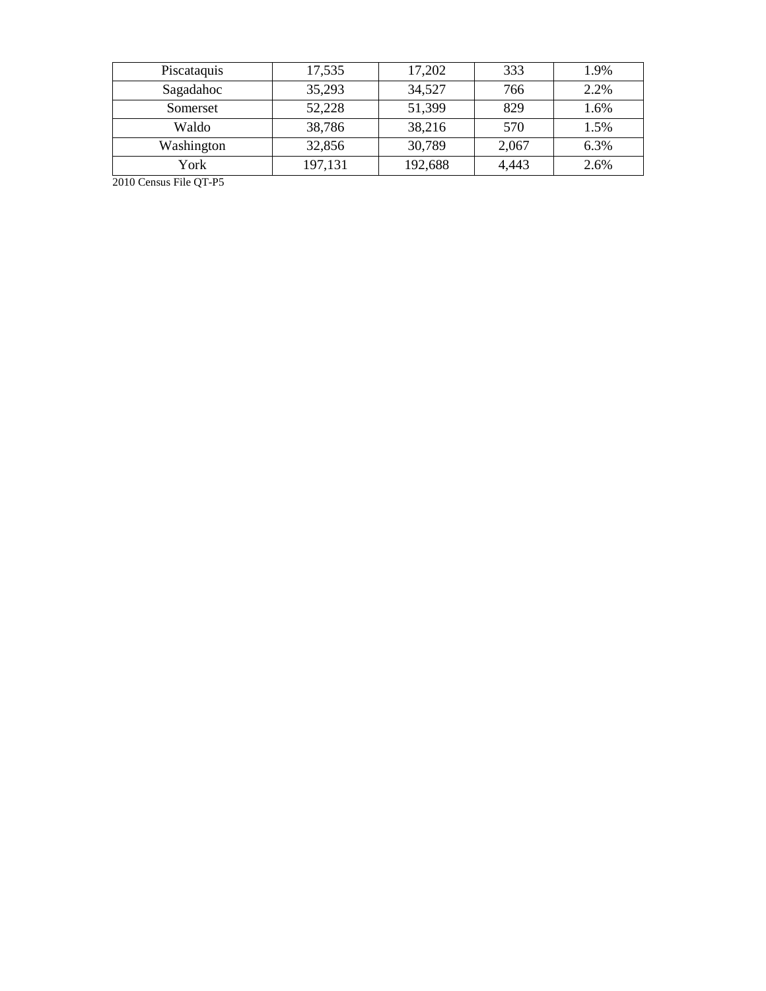| Piscataquis | 17,535  | 17,202  | 333   | 1.9% |
|-------------|---------|---------|-------|------|
| Sagadahoc   | 35,293  | 34,527  | 766   | 2.2% |
| Somerset    | 52,228  | 51,399  | 829   | 1.6% |
| Waldo       | 38,786  | 38,216  | 570   | 1.5% |
| Washington  | 32,856  | 30,789  | 2,067 | 6.3% |
| York        | 197,131 | 192,688 | 4,443 | 2.6% |

2010 Census File QT -P5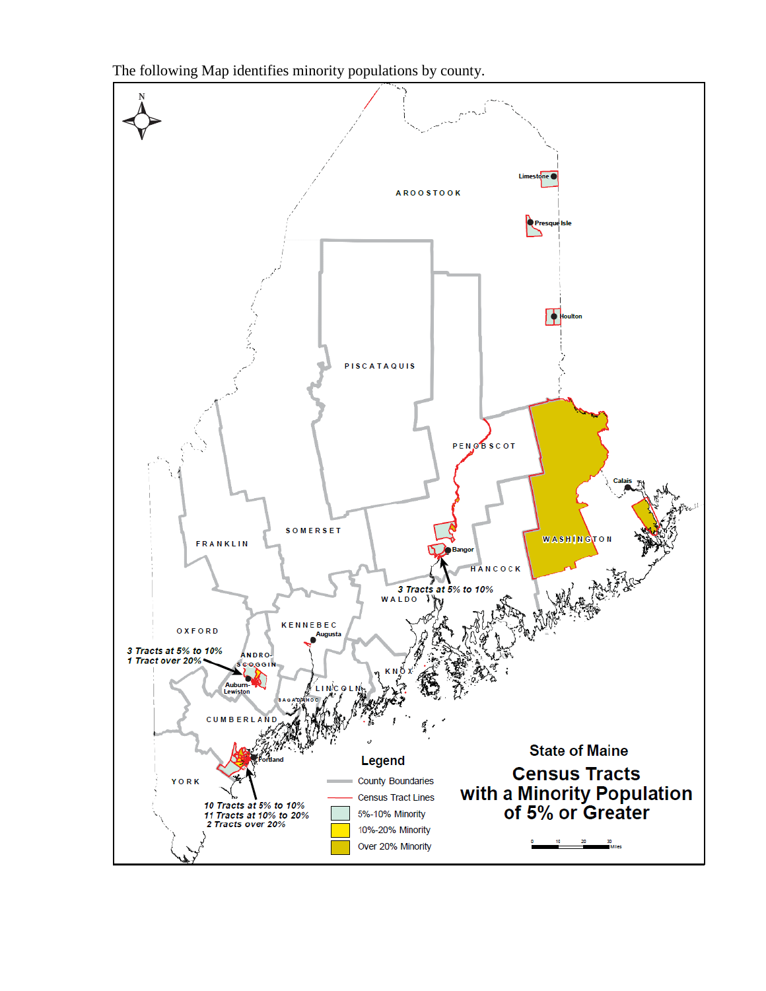The following Map identifies minority populations by county.

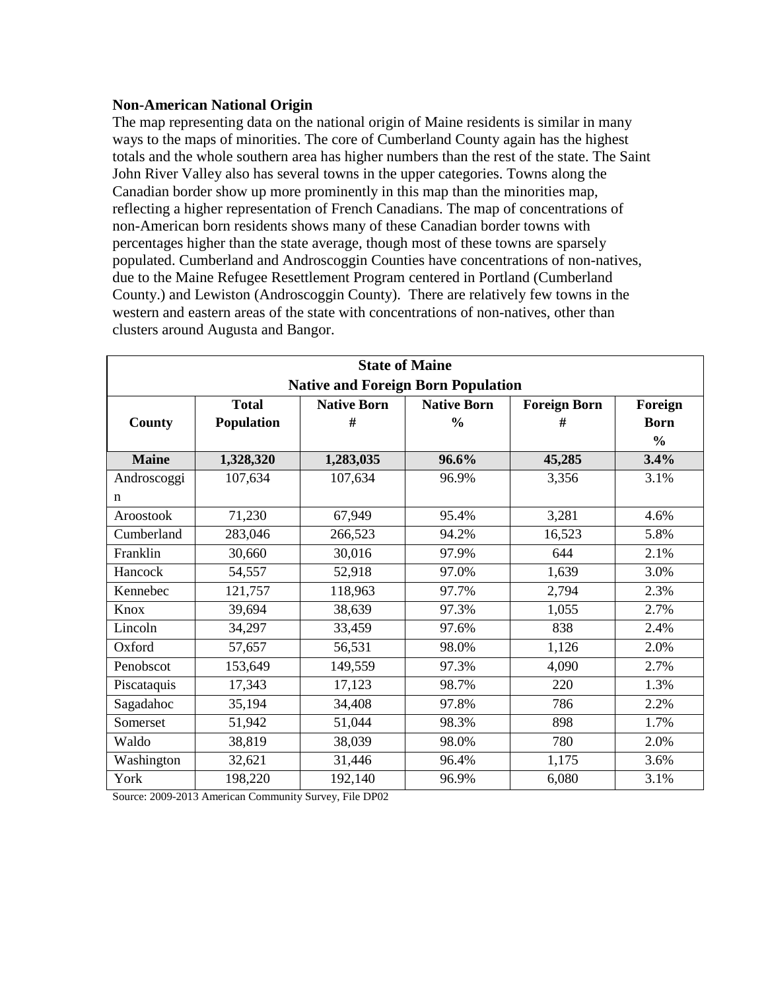### **Non-American National Origin**

The map representing data on the national origin of Maine residents is similar in many ways to the maps of minorities. The core of Cumberland County again has the highest totals and the whole southern area has higher numbers than the rest of the state. The Saint John River Valley also has several towns in the upper categories. Towns along the Canadian border show up more prominently in this map than the minorities map, reflecting a higher representation of French Canadians. The map of concentrations of non-American born residents shows many of these Canadian border towns with percentages higher than the state average, though most of these towns are sparsely populated. Cumberland and Androscoggin Counties have concentrations of non-natives, due to the Maine Refugee Resettlement Program centered in Portland (Cumberland County.) and Lewiston (Androscoggin County). There are relatively few towns in the western and eastern areas of the state with concentrations of non-natives, other than clusters around Augusta and Bangor.

| <b>State of Maine</b>                     |              |                    |                    |                     |                |
|-------------------------------------------|--------------|--------------------|--------------------|---------------------|----------------|
| <b>Native and Foreign Born Population</b> |              |                    |                    |                     |                |
|                                           | <b>Total</b> | <b>Native Born</b> | <b>Native Born</b> | <b>Foreign Born</b> | Foreign        |
| <b>County</b>                             | Population   | #                  | $\frac{0}{0}$      | #                   | <b>Born</b>    |
|                                           |              |                    |                    |                     | $\frac{6}{10}$ |
| <b>Maine</b>                              | 1,328,320    | 1,283,035          | 96.6%              | 45,285              | 3.4%           |
| Androscoggi                               | 107,634      | 107,634            | 96.9%              | 3,356               | 3.1%           |
| n                                         |              |                    |                    |                     |                |
| Aroostook                                 | 71,230       | 67,949             | 95.4%              | 3,281               | 4.6%           |
| Cumberland                                | 283,046      | 266,523            | 94.2%              | 16,523              | 5.8%           |
| Franklin                                  | 30,660       | 30,016             | 97.9%              | 644                 | 2.1%           |
| Hancock                                   | 54,557       | 52,918             | 97.0%              | 1,639               | 3.0%           |
| Kennebec                                  | 121,757      | 118,963            | 97.7%              | 2,794               | 2.3%           |
| Knox                                      | 39,694       | 38,639             | 97.3%              | 1,055               | 2.7%           |
| Lincoln                                   | 34,297       | 33,459             | 97.6%              | 838                 | 2.4%           |
| Oxford                                    | 57,657       | 56,531             | 98.0%              | 1,126               | 2.0%           |
| Penobscot                                 | 153,649      | 149,559            | 97.3%              | 4,090               | 2.7%           |
| Piscataquis                               | 17,343       | 17,123             | 98.7%              | 220                 | 1.3%           |
| Sagadahoc                                 | 35,194       | 34,408             | 97.8%              | 786                 | 2.2%           |
| Somerset                                  | 51,942       | 51,044             | 98.3%              | 898                 | 1.7%           |
| Waldo                                     | 38,819       | 38,039             | 98.0%              | 780                 | 2.0%           |
| Washington                                | 32,621       | 31,446             | 96.4%              | 1,175               | 3.6%           |
| York                                      | 198,220      | 192,140            | 96.9%              | 6,080               | 3.1%           |

Source: 2009-2013 American Community Survey, File DP02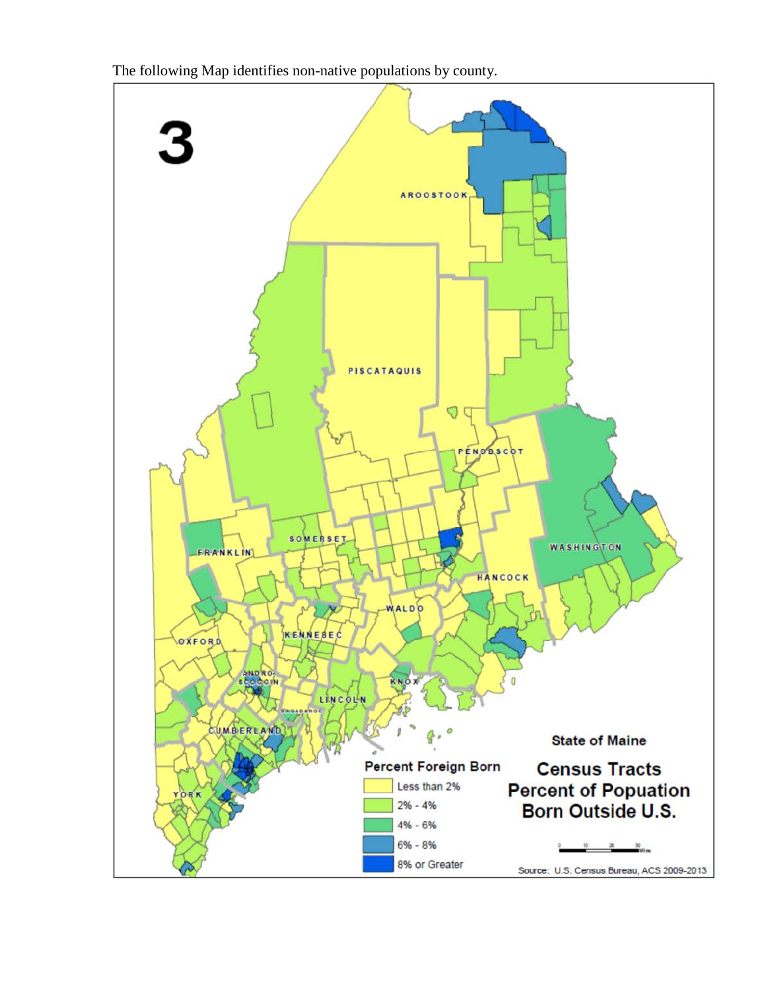

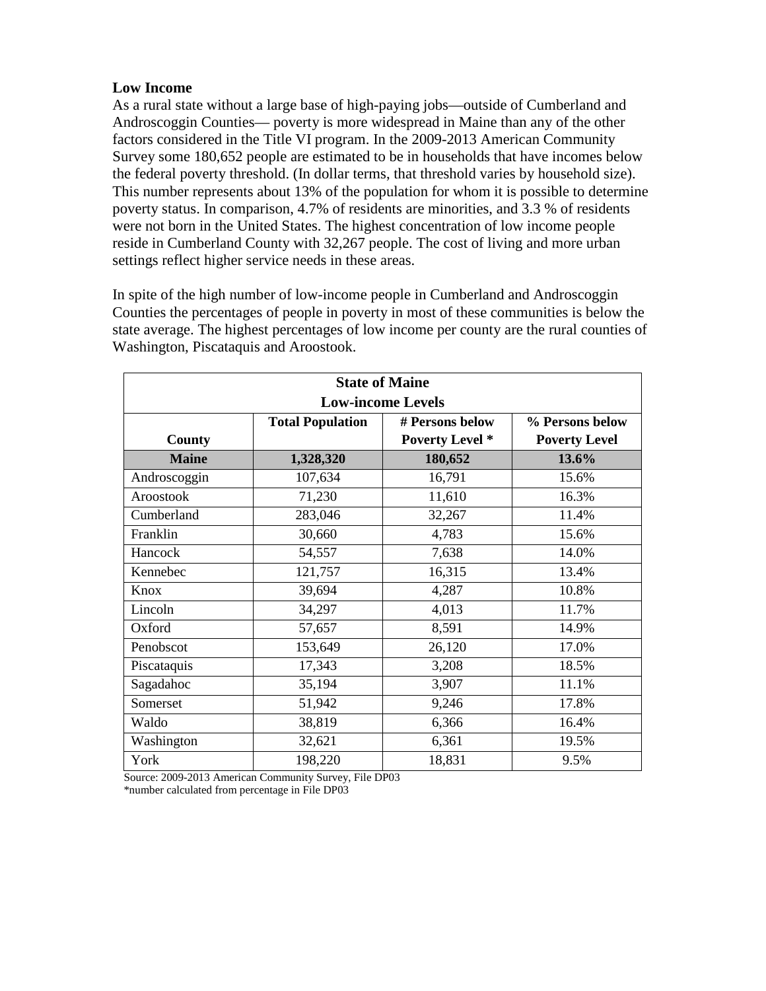### **Low Income**

As a rural state without a large base of high-paying jobs—outside of Cumberland and Androscoggin Counties— poverty is more widespread in Maine than any of the other factors considered in the Title VI program. In the 2009-2013 American Community Survey some 180,652 people are estimated to be in households that have incomes below the federal poverty threshold. (In dollar terms, that threshold varies by household size). This number represents about 13% of the population for whom it is possible to determine poverty status. In comparison, 4.7% of residents are minorities, and 3.3 % of residents were not born in the United States. The highest concentration of low income people reside in Cumberland County with 32,267 people. The cost of living and more urban settings reflect higher service needs in these areas.

In spite of the high number of low-income people in Cumberland and Androscoggin Counties the percentages of people in poverty in most of these communities is below the state average. The highest percentages of low income per county are the rural counties of Washington, Piscataquis and Aroostook.

| <b>State of Maine</b><br><b>Low-income Levels</b> |           |                        |                      |  |  |
|---------------------------------------------------|-----------|------------------------|----------------------|--|--|
|                                                   |           |                        |                      |  |  |
| County                                            |           | <b>Poverty Level</b> * | <b>Poverty Level</b> |  |  |
| <b>Maine</b>                                      | 1,328,320 | 180,652                | 13.6%                |  |  |
| Androscoggin                                      | 107,634   | 16,791                 | 15.6%                |  |  |
| Aroostook                                         | 71,230    | 11,610                 | 16.3%                |  |  |
| Cumberland                                        | 283,046   | 32,267                 | 11.4%                |  |  |
| Franklin                                          | 30,660    | 4,783                  | 15.6%                |  |  |
| Hancock                                           | 54,557    | 7,638                  | 14.0%                |  |  |
| Kennebec                                          | 121,757   | 16,315                 | 13.4%                |  |  |
| Knox                                              | 39,694    | 4,287                  | 10.8%                |  |  |
| Lincoln                                           | 34,297    | 4,013                  | 11.7%                |  |  |
| Oxford                                            | 57,657    | 8,591                  | 14.9%                |  |  |
| Penobscot                                         | 153,649   | 26,120                 | 17.0%                |  |  |
| Piscataquis                                       | 17,343    | 3,208                  | 18.5%                |  |  |
| Sagadahoc                                         | 35,194    | 3,907                  | 11.1%                |  |  |
| Somerset                                          | 51,942    | 9,246                  | 17.8%                |  |  |
| Waldo                                             | 38,819    | 6,366                  | 16.4%                |  |  |
| Washington                                        | 32,621    | 6,361                  | 19.5%                |  |  |
| York                                              | 198,220   | 18,831                 | 9.5%                 |  |  |

Source: 2009-2013 American Community Survey, File DP03 \*number calculated from percentage in File DP03